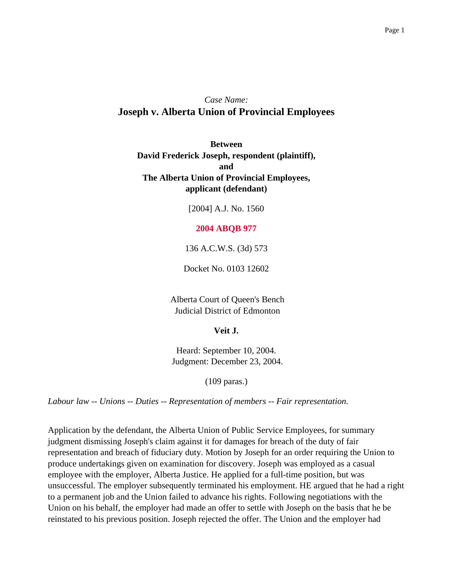# *Case Name:* **Joseph v. Alberta Union of Provincial Employees**

**Between David Frederick Joseph, respondent (plaintiff), and The Alberta Union of Provincial Employees, applicant (defendant)**

[2004] A.J. No. 1560

#### **2004 ABQB 977**

136 A.C.W.S. (3d) 573

Docket No. 0103 12602

Alberta Court of Queen's Bench Judicial District of Edmonton

**Veit J.**

Heard: September 10, 2004. Judgment: December 23, 2004.

(109 paras.)

*Labour law -- Unions -- Duties -- Representation of members -- Fair representation.*

Application by the defendant, the Alberta Union of Public Service Employees, for summary judgment dismissing Joseph's claim against it for damages for breach of the duty of fair representation and breach of fiduciary duty. Motion by Joseph for an order requiring the Union to produce undertakings given on examination for discovery. Joseph was employed as a casual employee with the employer, Alberta Justice. He applied for a full-time position, but was unsuccessful. The employer subsequently terminated his employment. HE argued that he had a right to a permanent job and the Union failed to advance his rights. Following negotiations with the Union on his behalf, the employer had made an offer to settle with Joseph on the basis that he be reinstated to his previous position. Joseph rejected the offer. The Union and the employer had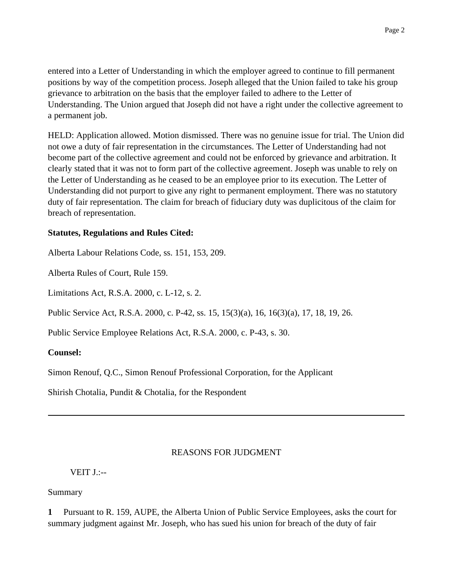entered into a Letter of Understanding in which the employer agreed to continue to fill permanent positions by way of the competition process. Joseph alleged that the Union failed to take his group grievance to arbitration on the basis that the employer failed to adhere to the Letter of Understanding. The Union argued that Joseph did not have a right under the collective agreement to a permanent job.

HELD: Application allowed. Motion dismissed. There was no genuine issue for trial. The Union did not owe a duty of fair representation in the circumstances. The Letter of Understanding had not become part of the collective agreement and could not be enforced by grievance and arbitration. It clearly stated that it was not to form part of the collective agreement. Joseph was unable to rely on the Letter of Understanding as he ceased to be an employee prior to its execution. The Letter of Understanding did not purport to give any right to permanent employment. There was no statutory duty of fair representation. The claim for breach of fiduciary duty was duplicitous of the claim for breach of representation.

#### **Statutes, Regulations and Rules Cited:**

Alberta Labour Relations Code, ss. 151, 153, 209.

Alberta Rules of Court, Rule 159.

Limitations Act, R.S.A. 2000, c. L-12, s. 2.

Public Service Act, R.S.A. 2000, c. P-42, ss. 15, 15(3)(a), 16, 16(3)(a), 17, 18, 19, 26.

Public Service Employee Relations Act, R.S.A. 2000, c. P-43, s. 30.

#### **Counsel:**

Simon Renouf, Q.C., Simon Renouf Professional Corporation, for the Applicant

Shirish Chotalia, Pundit & Chotalia, for the Respondent

#### REASONS FOR JUDGMENT

VEIT J.:--

#### Summary

**1** Pursuant to R. 159, AUPE, the Alberta Union of Public Service Employees, asks the court for summary judgment against Mr. Joseph, who has sued his union for breach of the duty of fair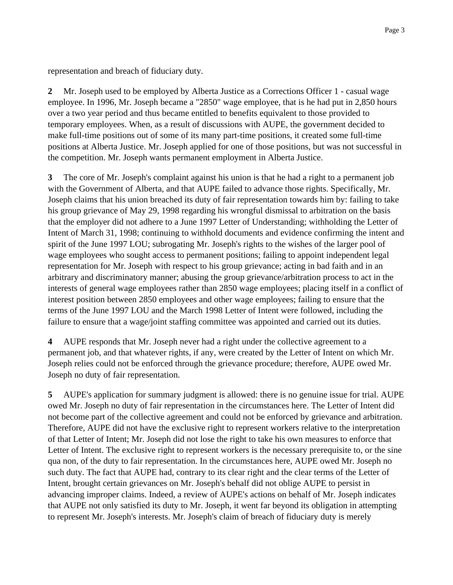representation and breach of fiduciary duty.

**2** Mr. Joseph used to be employed by Alberta Justice as a Corrections Officer 1 - casual wage employee. In 1996, Mr. Joseph became a "2850" wage employee, that is he had put in 2,850 hours over a two year period and thus became entitled to benefits equivalent to those provided to temporary employees. When, as a result of discussions with AUPE, the government decided to make full-time positions out of some of its many part-time positions, it created some full-time positions at Alberta Justice. Mr. Joseph applied for one of those positions, but was not successful in the competition. Mr. Joseph wants permanent employment in Alberta Justice.

**3** The core of Mr. Joseph's complaint against his union is that he had a right to a permanent job with the Government of Alberta, and that AUPE failed to advance those rights. Specifically, Mr. Joseph claims that his union breached its duty of fair representation towards him by: failing to take his group grievance of May 29, 1998 regarding his wrongful dismissal to arbitration on the basis that the employer did not adhere to a June 1997 Letter of Understanding; withholding the Letter of Intent of March 31, 1998; continuing to withhold documents and evidence confirming the intent and spirit of the June 1997 LOU; subrogating Mr. Joseph's rights to the wishes of the larger pool of wage employees who sought access to permanent positions; failing to appoint independent legal representation for Mr. Joseph with respect to his group grievance; acting in bad faith and in an arbitrary and discriminatory manner; abusing the group grievance/arbitration process to act in the interests of general wage employees rather than 2850 wage employees; placing itself in a conflict of interest position between 2850 employees and other wage employees; failing to ensure that the terms of the June 1997 LOU and the March 1998 Letter of Intent were followed, including the failure to ensure that a wage/joint staffing committee was appointed and carried out its duties.

**4** AUPE responds that Mr. Joseph never had a right under the collective agreement to a permanent job, and that whatever rights, if any, were created by the Letter of Intent on which Mr. Joseph relies could not be enforced through the grievance procedure; therefore, AUPE owed Mr. Joseph no duty of fair representation.

**5** AUPE's application for summary judgment is allowed: there is no genuine issue for trial. AUPE owed Mr. Joseph no duty of fair representation in the circumstances here. The Letter of Intent did not become part of the collective agreement and could not be enforced by grievance and arbitration. Therefore, AUPE did not have the exclusive right to represent workers relative to the interpretation of that Letter of Intent; Mr. Joseph did not lose the right to take his own measures to enforce that Letter of Intent. The exclusive right to represent workers is the necessary prerequisite to, or the sine qua non, of the duty to fair representation. In the circumstances here, AUPE owed Mr. Joseph no such duty. The fact that AUPE had, contrary to its clear right and the clear terms of the Letter of Intent, brought certain grievances on Mr. Joseph's behalf did not oblige AUPE to persist in advancing improper claims. Indeed, a review of AUPE's actions on behalf of Mr. Joseph indicates that AUPE not only satisfied its duty to Mr. Joseph, it went far beyond its obligation in attempting to represent Mr. Joseph's interests. Mr. Joseph's claim of breach of fiduciary duty is merely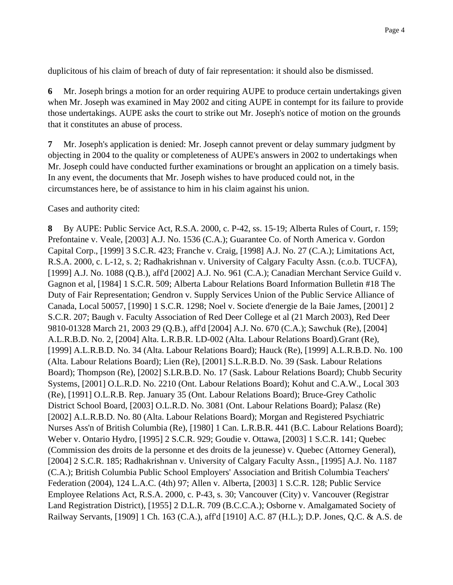duplicitous of his claim of breach of duty of fair representation: it should also be dismissed.

**6** Mr. Joseph brings a motion for an order requiring AUPE to produce certain undertakings given when Mr. Joseph was examined in May 2002 and citing AUPE in contempt for its failure to provide those undertakings. AUPE asks the court to strike out Mr. Joseph's notice of motion on the grounds that it constitutes an abuse of process.

**7** Mr. Joseph's application is denied: Mr. Joseph cannot prevent or delay summary judgment by objecting in 2004 to the quality or completeness of AUPE's answers in 2002 to undertakings when Mr. Joseph could have conducted further examinations or brought an application on a timely basis. In any event, the documents that Mr. Joseph wishes to have produced could not, in the circumstances here, be of assistance to him in his claim against his union.

Cases and authority cited:

**8** By AUPE: Public Service Act, R.S.A. 2000, c. P-42, ss. 15-19; Alberta Rules of Court, r. 159; Prefontaine v. Veale, [2003] A.J. No. 1536 (C.A.); Guarantee Co. of North America v. Gordon Capital Corp., [1999] 3 S.C.R. 423; Franche v. Craig, [1998] A.J. No. 27 (C.A.); Limitations Act, R.S.A. 2000, c. L-12, s. 2; Radhakrishnan v. University of Calgary Faculty Assn. (c.o.b. TUCFA), [1999] A.J. No. 1088 (Q.B.), aff'd [2002] A.J. No. 961 (C.A.); Canadian Merchant Service Guild v. Gagnon et al, [1984] 1 S.C.R. 509; Alberta Labour Relations Board Information Bulletin #18 The Duty of Fair Representation; Gendron v. Supply Services Union of the Public Service Alliance of Canada, Local 50057, [1990] 1 S.C.R. 1298; Noel v. Societe d'energie de la Baie James, [2001] 2 S.C.R. 207; Baugh v. Faculty Association of Red Deer College et al (21 March 2003), Red Deer 9810-01328 March 21, 2003 29 (Q.B.), aff'd [2004] A.J. No. 670 (C.A.); Sawchuk (Re), [2004] A.L.R.B.D. No. 2, [2004] Alta. L.R.B.R. LD-002 (Alta. Labour Relations Board).Grant (Re), [1999] A.L.R.B.D. No. 34 (Alta. Labour Relations Board); Hauck (Re), [1999] A.L.R.B.D. No. 100 (Alta. Labour Relations Board); Lien (Re), [2001] S.L.R.B.D. No. 39 (Sask. Labour Relations Board); Thompson (Re), [2002] S.LR.B.D. No. 17 (Sask. Labour Relations Board); Chubb Security Systems, [2001] O.L.R.D. No. 2210 (Ont. Labour Relations Board); Kohut and C.A.W., Local 303 (Re), [1991] O.L.R.B. Rep. January 35 (Ont. Labour Relations Board); Bruce-Grey Catholic District School Board, [2003] O.L.R.D. No. 3081 (Ont. Labour Relations Board); Palasz (Re) [2002] A.L.R.B.D. No. 80 (Alta. Labour Relations Board); Morgan and Registered Psychiatric Nurses Ass'n of British Columbia (Re), [1980] 1 Can. L.R.B.R. 441 (B.C. Labour Relations Board); Weber v. Ontario Hydro, [1995] 2 S.C.R. 929; Goudie v. Ottawa, [2003] 1 S.C.R. 141; Quebec (Commission des droits de la personne et des droits de la jeunesse) v. Quebec (Attorney General), [2004] 2 S.C.R. 185; Radhakrishnan v. University of Calgary Faculty Assn., [1995] A.J. No. 1187 (C.A.); British Columbia Public School Employers' Association and British Columbia Teachers' Federation (2004), 124 L.A.C. (4th) 97; Allen v. Alberta, [2003] 1 S.C.R. 128; Public Service Employee Relations Act, R.S.A. 2000, c. P-43, s. 30; Vancouver (City) v. Vancouver (Registrar Land Registration District), [1955] 2 D.L.R. 709 (B.C.C.A.); Osborne v. Amalgamated Society of Railway Servants, [1909] 1 Ch. 163 (C.A.), aff'd [1910] A.C. 87 (H.L.); D.P. Jones, Q.C. & A.S. de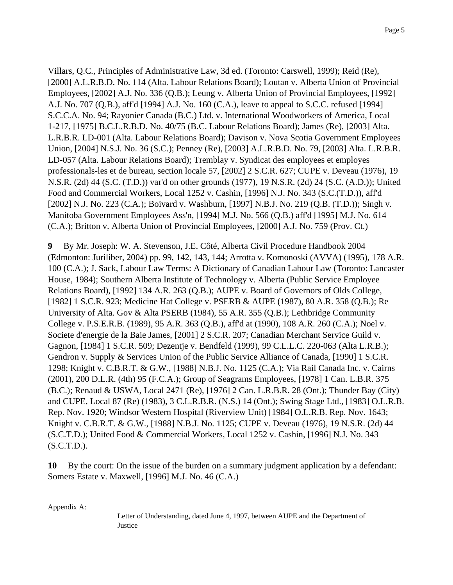Villars, Q.C., Principles of Administrative Law, 3d ed. (Toronto: Carswell, 1999); Reid (Re), [2000] A.L.R.B.D. No. 114 (Alta. Labour Relations Board); Loutan v. Alberta Union of Provincial Employees, [2002] A.J. No. 336 (Q.B.); Leung v. Alberta Union of Provincial Employees, [1992] A.J. No. 707 (Q.B.), aff'd [1994] A.J. No. 160 (C.A.), leave to appeal to S.C.C. refused [1994] S.C.C.A. No. 94; Rayonier Canada (B.C.) Ltd. v. International Woodworkers of America, Local 1-217, [1975] B.C.L.R.B.D. No. 40/75 (B.C. Labour Relations Board); James (Re), [2003] Alta. L.R.B.R. LD-001 (Alta. Labour Relations Board); Davison v. Nova Scotia Government Employees Union, [2004] N.S.J. No. 36 (S.C.); Penney (Re), [2003] A.L.R.B.D. No. 79, [2003] Alta. L.R.B.R. LD-057 (Alta. Labour Relations Board); Tremblay v. Syndicat des employees et employes professionals-les et de bureau, section locale 57, [2002] 2 S.C.R. 627; CUPE v. Deveau (1976), 19 N.S.R. (2d) 44 (S.C. (T.D.)) var'd on other grounds (1977), 19 N.S.R. (2d) 24 (S.C. (A.D.)); United Food and Commercial Workers, Local 1252 v. Cashin, [1996] N.J. No. 343 (S.C.(T.D.)), aff'd [2002] N.J. No. 223 (C.A.); Boivard v. Washburn, [1997] N.B.J. No. 219 (Q.B. (T.D.)); Singh v. Manitoba Government Employees Ass'n, [1994] M.J. No. 566 (Q.B.) aff'd [1995] M.J. No. 614 (C.A.); Britton v. Alberta Union of Provincial Employees, [2000] A.J. No. 759 (Prov. Ct.)

**9** By Mr. Joseph: W. A. Stevenson, J.E. Côté, Alberta Civil Procedure Handbook 2004 (Edmonton: Juriliber, 2004) pp. 99, 142, 143, 144; Arrotta v. Komonoski (AVVA) (1995), 178 A.R. 100 (C.A.); J. Sack, Labour Law Terms: A Dictionary of Canadian Labour Law (Toronto: Lancaster House, 1984); Southern Alberta Institute of Technology v. Alberta (Public Service Employee Relations Board), [1992] 134 A.R. 263 (Q.B.); AUPE v. Board of Governors of Olds College, [1982] 1 S.C.R. 923; Medicine Hat College v. PSERB & AUPE (1987), 80 A.R. 358 (Q.B.); Re University of Alta. Gov & Alta PSERB (1984), 55 A.R. 355 (Q.B.); Lethbridge Community College v. P.S.E.R.B. (1989), 95 A.R. 363 (Q.B.), aff'd at (1990), 108 A.R. 260 (C.A.); Noel v. Societe d'energie de la Baie James, [2001] 2 S.C.R. 207; Canadian Merchant Service Guild v. Gagnon, [1984] 1 S.C.R. 509; Dezentje v. Bendfeld (1999), 99 C.L.L.C. 220-063 (Alta L.R.B.); Gendron v. Supply & Services Union of the Public Service Alliance of Canada, [1990] 1 S.C.R. 1298; Knight v. C.B.R.T. & G.W., [1988] N.B.J. No. 1125 (C.A.); Via Rail Canada Inc. v. Cairns (2001), 200 D.L.R. (4th) 95 (F.C.A.); Group of Seagrams Employees, [1978] 1 Can. L.B.R. 375 (B.C.); Renaud & USWA, Local 2471 (Re), [1976] 2 Can. L.R.B.R. 28 (Ont.); Thunder Bay (City) and CUPE, Local 87 (Re) (1983), 3 C.L.R.B.R. (N.S.) 14 (Ont.); Swing Stage Ltd., [1983] O.L.R.B. Rep. Nov. 1920; Windsor Western Hospital (Riverview Unit) [1984] O.L.R.B. Rep. Nov. 1643; Knight v. C.B.R.T. & G.W., [1988] N.B.J. No. 1125; CUPE v. Deveau (1976), 19 N.S.R. (2d) 44 (S.C.T.D.); United Food & Commercial Workers, Local 1252 v. Cashin, [1996] N.J. No. 343  $(S.C.T.D.).$ 

**10** By the court: On the issue of the burden on a summary judgment application by a defendant: Somers Estate v. Maxwell, [1996] M.J. No. 46 (C.A.)

Appendix A:

Letter of Understanding, dated June 4, 1997, between AUPE and the Department of **Justice**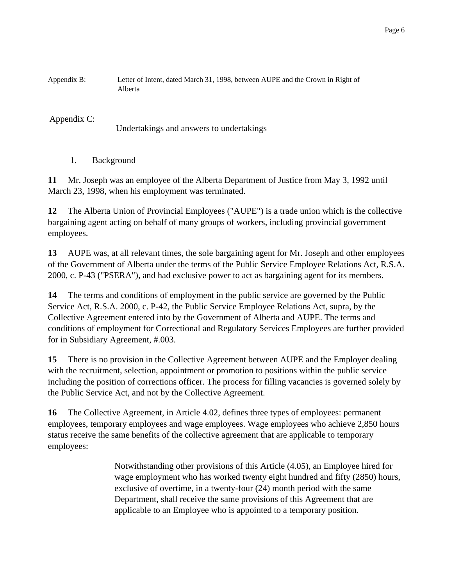Appendix B: Letter of Intent, dated March 31, 1998, between AUPE and the Crown in Right of Alberta

Appendix C:

Undertakings and answers to undertakings

1. Background

**11** Mr. Joseph was an employee of the Alberta Department of Justice from May 3, 1992 until March 23, 1998, when his employment was terminated.

**12** The Alberta Union of Provincial Employees ("AUPE") is a trade union which is the collective bargaining agent acting on behalf of many groups of workers, including provincial government employees.

**13** AUPE was, at all relevant times, the sole bargaining agent for Mr. Joseph and other employees of the Government of Alberta under the terms of the Public Service Employee Relations Act, R.S.A. 2000, c. P-43 ("PSERA"), and had exclusive power to act as bargaining agent for its members.

**14** The terms and conditions of employment in the public service are governed by the Public Service Act, R.S.A. 2000, c. P-42, the Public Service Employee Relations Act, supra, by the Collective Agreement entered into by the Government of Alberta and AUPE. The terms and conditions of employment for Correctional and Regulatory Services Employees are further provided for in Subsidiary Agreement, #.003.

**15** There is no provision in the Collective Agreement between AUPE and the Employer dealing with the recruitment, selection, appointment or promotion to positions within the public service including the position of corrections officer. The process for filling vacancies is governed solely by the Public Service Act, and not by the Collective Agreement.

**16** The Collective Agreement, in Article 4.02, defines three types of employees: permanent employees, temporary employees and wage employees. Wage employees who achieve 2,850 hours status receive the same benefits of the collective agreement that are applicable to temporary employees:

> Notwithstanding other provisions of this Article (4.05), an Employee hired for wage employment who has worked twenty eight hundred and fifty (2850) hours, exclusive of overtime, in a twenty-four (24) month period with the same Department, shall receive the same provisions of this Agreement that are applicable to an Employee who is appointed to a temporary position.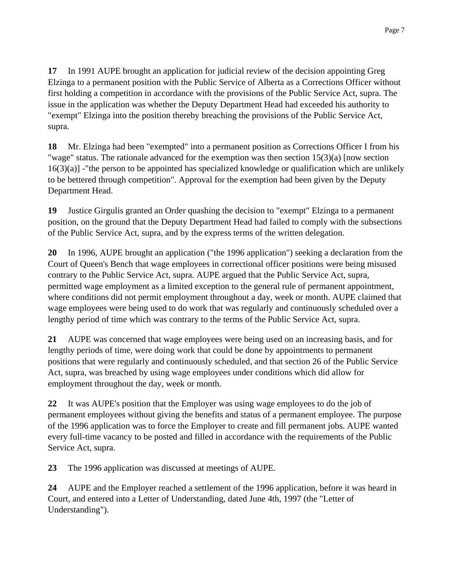**17** In 1991 AUPE brought an application for judicial review of the decision appointing Greg Elzinga to a permanent position with the Public Service of Alberta as a Corrections Officer without first holding a competition in accordance with the provisions of the Public Service Act, supra. The issue in the application was whether the Deputy Department Head had exceeded his authority to "exempt" Elzinga into the position thereby breaching the provisions of the Public Service Act, supra.

**18** Mr. Elzinga had been "exempted" into a permanent position as Corrections Officer I from his "wage" status. The rationale advanced for the exemption was then section 15(3)(a) [now section 16(3)(a)] -"the person to be appointed has specialized knowledge or qualification which are unlikely to be bettered through competition". Approval for the exemption had been given by the Deputy Department Head.

**19** Justice Girgulis granted an Order quashing the decision to "exempt" Elzinga to a permanent position, on the ground that the Deputy Department Head had failed to comply with the subsections of the Public Service Act, supra, and by the express terms of the written delegation.

**20** In 1996, AUPE brought an application ("the 1996 application") seeking a declaration from the Court of Queen's Bench that wage employees in correctional officer positions were being misused contrary to the Public Service Act, supra. AUPE argued that the Public Service Act, supra, permitted wage employment as a limited exception to the general rule of permanent appointment, where conditions did not permit employment throughout a day, week or month. AUPE claimed that wage employees were being used to do work that was regularly and continuously scheduled over a lengthy period of time which was contrary to the terms of the Public Service Act, supra.

**21** AUPE was concerned that wage employees were being used on an increasing basis, and for lengthy periods of time, were doing work that could be done by appointments to permanent positions that were regularly and continuously scheduled, and that section 26 of the Public Service Act, supra, was breached by using wage employees under conditions which did allow for employment throughout the day, week or month.

**22** It was AUPE's position that the Employer was using wage employees to do the job of permanent employees without giving the benefits and status of a permanent employee. The purpose of the 1996 application was to force the Employer to create and fill permanent jobs. AUPE wanted every full-time vacancy to be posted and filled in accordance with the requirements of the Public Service Act, supra.

**23** The 1996 application was discussed at meetings of AUPE.

**24** AUPE and the Employer reached a settlement of the 1996 application, before it was heard in Court, and entered into a Letter of Understanding, dated June 4th, 1997 (the "Letter of Understanding").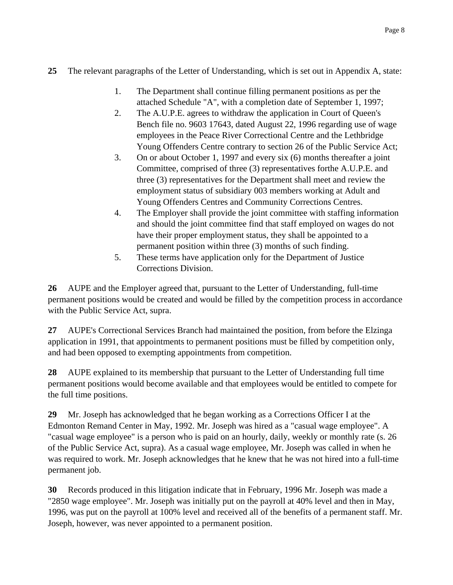## **25** The relevant paragraphs of the Letter of Understanding, which is set out in Appendix A, state:

- 1. The Department shall continue filling permanent positions as per the attached Schedule "A", with a completion date of September 1, 1997;
- 2. The A.U.P.E. agrees to withdraw the application in Court of Queen's Bench file no. 9603 17643, dated August 22, 1996 regarding use of wage employees in the Peace River Correctional Centre and the Lethbridge Young Offenders Centre contrary to section 26 of the Public Service Act;
- 3. On or about October 1, 1997 and every six (6) months thereafter a joint Committee, comprised of three (3) representatives forthe A.U.P.E. and three (3) representatives for the Department shall meet and review the employment status of subsidiary 003 members working at Adult and Young Offenders Centres and Community Corrections Centres.
- 4. The Employer shall provide the joint committee with staffing information and should the joint committee find that staff employed on wages do not have their proper employment status, they shall be appointed to a permanent position within three (3) months of such finding.
- 5. These terms have application only for the Department of Justice Corrections Division.

**26** AUPE and the Employer agreed that, pursuant to the Letter of Understanding, full-time permanent positions would be created and would be filled by the competition process in accordance with the Public Service Act, supra.

**27** AUPE's Correctional Services Branch had maintained the position, from before the Elzinga application in 1991, that appointments to permanent positions must be filled by competition only, and had been opposed to exempting appointments from competition.

**28** AUPE explained to its membership that pursuant to the Letter of Understanding full time permanent positions would become available and that employees would be entitled to compete for the full time positions.

**29** Mr. Joseph has acknowledged that he began working as a Corrections Officer I at the Edmonton Remand Center in May, 1992. Mr. Joseph was hired as a "casual wage employee". A "casual wage employee" is a person who is paid on an hourly, daily, weekly or monthly rate (s. 26 of the Public Service Act, supra). As a casual wage employee, Mr. Joseph was called in when he was required to work. Mr. Joseph acknowledges that he knew that he was not hired into a full-time permanent job.

**30** Records produced in this litigation indicate that in February, 1996 Mr. Joseph was made a "2850 wage employee". Mr. Joseph was initially put on the payroll at 40% level and then in May, 1996, was put on the payroll at 100% level and received all of the benefits of a permanent staff. Mr. Joseph, however, was never appointed to a permanent position.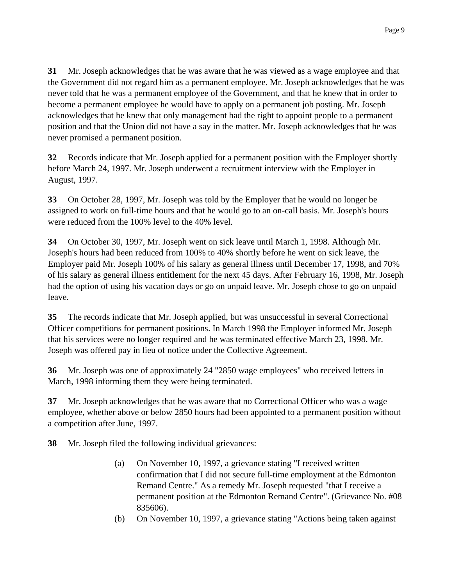**31** Mr. Joseph acknowledges that he was aware that he was viewed as a wage employee and that the Government did not regard him as a permanent employee. Mr. Joseph acknowledges that he was never told that he was a permanent employee of the Government, and that he knew that in order to become a permanent employee he would have to apply on a permanent job posting. Mr. Joseph acknowledges that he knew that only management had the right to appoint people to a permanent position and that the Union did not have a say in the matter. Mr. Joseph acknowledges that he was never promised a permanent position.

**32** Records indicate that Mr. Joseph applied for a permanent position with the Employer shortly before March 24, 1997. Mr. Joseph underwent a recruitment interview with the Employer in August, 1997.

**33** On October 28, 1997, Mr. Joseph was told by the Employer that he would no longer be assigned to work on full-time hours and that he would go to an on-call basis. Mr. Joseph's hours were reduced from the 100% level to the 40% level.

**34** On October 30, 1997, Mr. Joseph went on sick leave until March 1, 1998. Although Mr. Joseph's hours had been reduced from 100% to 40% shortly before he went on sick leave, the Employer paid Mr. Joseph 100% of his salary as general illness until December 17, 1998, and 70% of his salary as general illness entitlement for the next 45 days. After February 16, 1998, Mr. Joseph had the option of using his vacation days or go on unpaid leave. Mr. Joseph chose to go on unpaid leave.

**35** The records indicate that Mr. Joseph applied, but was unsuccessful in several Correctional Officer competitions for permanent positions. In March 1998 the Employer informed Mr. Joseph that his services were no longer required and he was terminated effective March 23, 1998. Mr. Joseph was offered pay in lieu of notice under the Collective Agreement.

**36** Mr. Joseph was one of approximately 24 "2850 wage employees" who received letters in March, 1998 informing them they were being terminated.

**37** Mr. Joseph acknowledges that he was aware that no Correctional Officer who was a wage employee, whether above or below 2850 hours had been appointed to a permanent position without a competition after June, 1997.

**38** Mr. Joseph filed the following individual grievances:

- (a) On November 10, 1997, a grievance stating "I received written confirmation that I did not secure full-time employment at the Edmonton Remand Centre." As a remedy Mr. Joseph requested "that I receive a permanent position at the Edmonton Remand Centre". (Grievance No. #08 835606).
- (b) On November 10, 1997, a grievance stating "Actions being taken against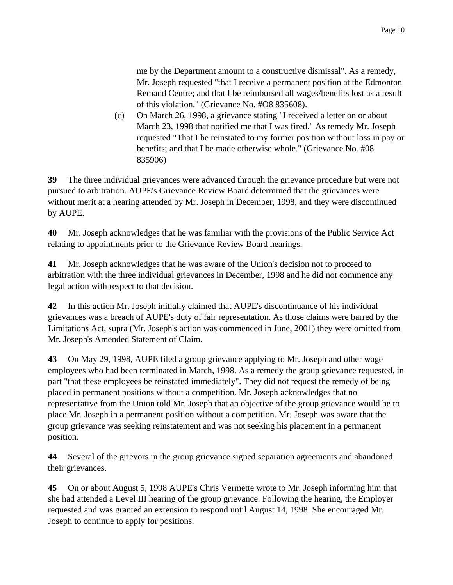me by the Department amount to a constructive dismissal". As a remedy, Mr. Joseph requested "that I receive a permanent position at the Edmonton Remand Centre; and that I be reimbursed all wages/benefits lost as a result of this violation." (Grievance No. #O8 835608).

(c) On March 26, 1998, a grievance stating "I received a letter on or about March 23, 1998 that notified me that I was fired." As remedy Mr. Joseph requested "That I be reinstated to my former position without loss in pay or benefits; and that I be made otherwise whole." (Grievance No. #08 835906)

**39** The three individual grievances were advanced through the grievance procedure but were not pursued to arbitration. AUPE's Grievance Review Board determined that the grievances were without merit at a hearing attended by Mr. Joseph in December, 1998, and they were discontinued by AUPE.

**40** Mr. Joseph acknowledges that he was familiar with the provisions of the Public Service Act relating to appointments prior to the Grievance Review Board hearings.

**41** Mr. Joseph acknowledges that he was aware of the Union's decision not to proceed to arbitration with the three individual grievances in December, 1998 and he did not commence any legal action with respect to that decision.

**42** In this action Mr. Joseph initially claimed that AUPE's discontinuance of his individual grievances was a breach of AUPE's duty of fair representation. As those claims were barred by the Limitations Act, supra (Mr. Joseph's action was commenced in June, 2001) they were omitted from Mr. Joseph's Amended Statement of Claim.

**43** On May 29, 1998, AUPE filed a group grievance applying to Mr. Joseph and other wage employees who had been terminated in March, 1998. As a remedy the group grievance requested, in part "that these employees be reinstated immediately". They did not request the remedy of being placed in permanent positions without a competition. Mr. Joseph acknowledges that no representative from the Union told Mr. Joseph that an objective of the group grievance would be to place Mr. Joseph in a permanent position without a competition. Mr. Joseph was aware that the group grievance was seeking reinstatement and was not seeking his placement in a permanent position.

**44** Several of the grievors in the group grievance signed separation agreements and abandoned their grievances.

**45** On or about August 5, 1998 AUPE's Chris Vermette wrote to Mr. Joseph informing him that she had attended a Level III hearing of the group grievance. Following the hearing, the Employer requested and was granted an extension to respond until August 14, 1998. She encouraged Mr. Joseph to continue to apply for positions.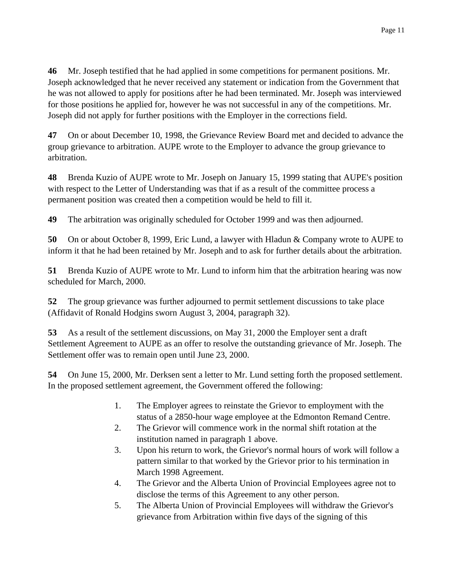**46** Mr. Joseph testified that he had applied in some competitions for permanent positions. Mr. Joseph acknowledged that he never received any statement or indication from the Government that he was not allowed to apply for positions after he had been terminated. Mr. Joseph was interviewed for those positions he applied for, however he was not successful in any of the competitions. Mr. Joseph did not apply for further positions with the Employer in the corrections field.

**47** On or about December 10, 1998, the Grievance Review Board met and decided to advance the group grievance to arbitration. AUPE wrote to the Employer to advance the group grievance to arbitration.

**48** Brenda Kuzio of AUPE wrote to Mr. Joseph on January 15, 1999 stating that AUPE's position with respect to the Letter of Understanding was that if as a result of the committee process a permanent position was created then a competition would be held to fill it.

**49** The arbitration was originally scheduled for October 1999 and was then adjourned.

**50** On or about October 8, 1999, Eric Lund, a lawyer with Hladun & Company wrote to AUPE to inform it that he had been retained by Mr. Joseph and to ask for further details about the arbitration.

**51** Brenda Kuzio of AUPE wrote to Mr. Lund to inform him that the arbitration hearing was now scheduled for March, 2000.

**52** The group grievance was further adjourned to permit settlement discussions to take place (Affidavit of Ronald Hodgins sworn August 3, 2004, paragraph 32).

**53** As a result of the settlement discussions, on May 31, 2000 the Employer sent a draft Settlement Agreement to AUPE as an offer to resolve the outstanding grievance of Mr. Joseph. The Settlement offer was to remain open until June 23, 2000.

**54** On June 15, 2000, Mr. Derksen sent a letter to Mr. Lund setting forth the proposed settlement. In the proposed settlement agreement, the Government offered the following:

- 1. The Employer agrees to reinstate the Grievor to employment with the status of a 2850-hour wage employee at the Edmonton Remand Centre.
- 2. The Grievor will commence work in the normal shift rotation at the institution named in paragraph 1 above.
- 3. Upon his return to work, the Grievor's normal hours of work will follow a pattern similar to that worked by the Grievor prior to his termination in March 1998 Agreement.
- 4. The Grievor and the Alberta Union of Provincial Employees agree not to disclose the terms of this Agreement to any other person.
- 5. The Alberta Union of Provincial Employees will withdraw the Grievor's grievance from Arbitration within five days of the signing of this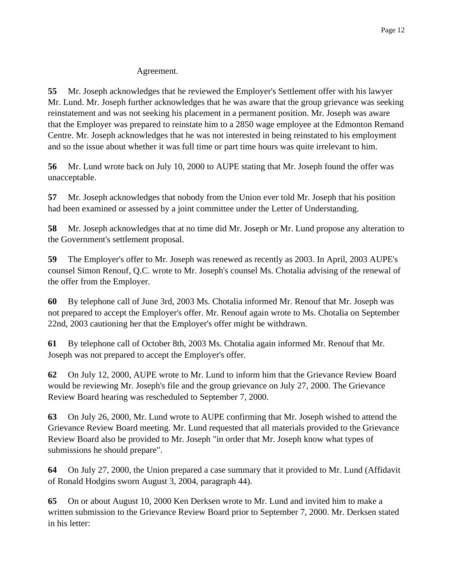### Agreement.

**55** Mr. Joseph acknowledges that he reviewed the Employer's Settlement offer with his lawyer Mr. Lund. Mr. Joseph further acknowledges that he was aware that the group grievance was seeking reinstatement and was not seeking his placement in a permanent position. Mr. Joseph was aware that the Employer was prepared to reinstate him to a 2850 wage employee at the Edmonton Remand Centre. Mr. Joseph acknowledges that he was not interested in being reinstated to his employment and so the issue about whether it was full time or part time hours was quite irrelevant to him.

**56** Mr. Lund wrote back on July 10, 2000 to AUPE stating that Mr. Joseph found the offer was unacceptable.

**57** Mr. Joseph acknowledges that nobody from the Union ever told Mr. Joseph that his position had been examined or assessed by a joint committee under the Letter of Understanding.

**58** Mr. Joseph acknowledges that at no time did Mr. Joseph or Mr. Lund propose any alteration to the Government's settlement proposal.

**59** The Employer's offer to Mr. Joseph was renewed as recently as 2003. In April, 2003 AUPE's counsel Simon Renouf, Q.C. wrote to Mr. Joseph's counsel Ms. Chotalia advising of the renewal of the offer from the Employer.

**60** By telephone call of June 3rd, 2003 Ms. Chotalia informed Mr. Renouf that Mr. Joseph was not prepared to accept the Employer's offer. Mr. Renouf again wrote to Ms. Chotalia on September 22nd, 2003 cautioning her that the Employer's offer might be withdrawn.

**61** By telephone call of October 8th, 2003 Ms. Chotalia again informed Mr. Renouf that Mr. Joseph was not prepared to accept the Employer's offer.

**62** On July 12, 2000, AUPE wrote to Mr. Lund to inform him that the Grievance Review Board would be reviewing Mr. Joseph's file and the group grievance on July 27, 2000. The Grievance Review Board hearing was rescheduled to September 7, 2000.

**63** On July 26, 2000, Mr. Lund wrote to AUPE confirming that Mr. Joseph wished to attend the Grievance Review Board meeting. Mr. Lund requested that all materials provided to the Grievance Review Board also be provided to Mr. Joseph "in order that Mr. Joseph know what types of submissions he should prepare".

**64** On July 27, 2000, the Union prepared a case summary that it provided to Mr. Lund (Affidavit of Ronald Hodgins sworn August 3, 2004, paragraph 44).

**65** On or about August 10, 2000 Ken Derksen wrote to Mr. Lund and invited him to make a written submission to the Grievance Review Board prior to September 7, 2000. Mr. Derksen stated in his letter: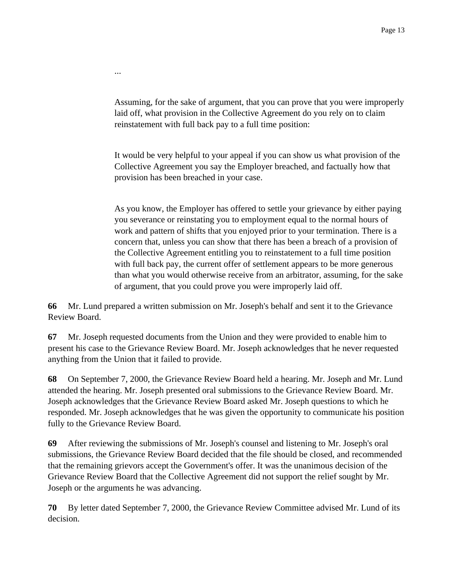Assuming, for the sake of argument, that you can prove that you were improperly laid off, what provision in the Collective Agreement do you rely on to claim reinstatement with full back pay to a full time position:

...

It would be very helpful to your appeal if you can show us what provision of the Collective Agreement you say the Employer breached, and factually how that provision has been breached in your case.

As you know, the Employer has offered to settle your grievance by either paying you severance or reinstating you to employment equal to the normal hours of work and pattern of shifts that you enjoyed prior to your termination. There is a concern that, unless you can show that there has been a breach of a provision of the Collective Agreement entitling you to reinstatement to a full time position with full back pay, the current offer of settlement appears to be more generous than what you would otherwise receive from an arbitrator, assuming, for the sake of argument, that you could prove you were improperly laid off.

**66** Mr. Lund prepared a written submission on Mr. Joseph's behalf and sent it to the Grievance Review Board.

**67** Mr. Joseph requested documents from the Union and they were provided to enable him to present his case to the Grievance Review Board. Mr. Joseph acknowledges that he never requested anything from the Union that it failed to provide.

**68** On September 7, 2000, the Grievance Review Board held a hearing. Mr. Joseph and Mr. Lund attended the hearing. Mr. Joseph presented oral submissions to the Grievance Review Board. Mr. Joseph acknowledges that the Grievance Review Board asked Mr. Joseph questions to which he responded. Mr. Joseph acknowledges that he was given the opportunity to communicate his position fully to the Grievance Review Board.

**69** After reviewing the submissions of Mr. Joseph's counsel and listening to Mr. Joseph's oral submissions, the Grievance Review Board decided that the file should be closed, and recommended that the remaining grievors accept the Government's offer. It was the unanimous decision of the Grievance Review Board that the Collective Agreement did not support the relief sought by Mr. Joseph or the arguments he was advancing.

**70** By letter dated September 7, 2000, the Grievance Review Committee advised Mr. Lund of its decision.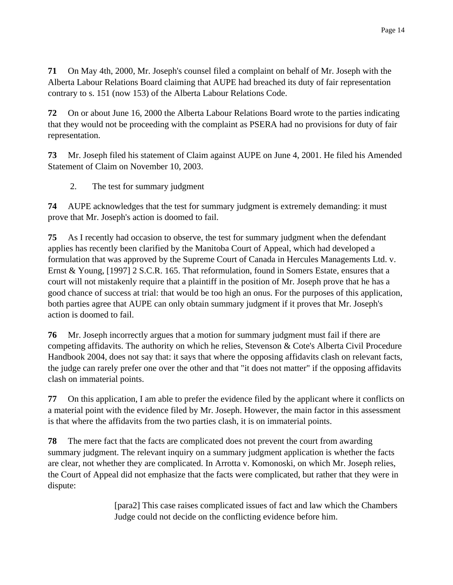**71** On May 4th, 2000, Mr. Joseph's counsel filed a complaint on behalf of Mr. Joseph with the Alberta Labour Relations Board claiming that AUPE had breached its duty of fair representation contrary to s. 151 (now 153) of the Alberta Labour Relations Code.

**72** On or about June 16, 2000 the Alberta Labour Relations Board wrote to the parties indicating that they would not be proceeding with the complaint as PSERA had no provisions for duty of fair representation.

**73** Mr. Joseph filed his statement of Claim against AUPE on June 4, 2001. He filed his Amended Statement of Claim on November 10, 2003.

2. The test for summary judgment

**74** AUPE acknowledges that the test for summary judgment is extremely demanding: it must prove that Mr. Joseph's action is doomed to fail.

**75** As I recently had occasion to observe, the test for summary judgment when the defendant applies has recently been clarified by the Manitoba Court of Appeal, which had developed a formulation that was approved by the Supreme Court of Canada in Hercules Managements Ltd. v. Ernst & Young, [1997] 2 S.C.R. 165. That reformulation, found in Somers Estate, ensures that a court will not mistakenly require that a plaintiff in the position of Mr. Joseph prove that he has a good chance of success at trial: that would be too high an onus. For the purposes of this application, both parties agree that AUPE can only obtain summary judgment if it proves that Mr. Joseph's action is doomed to fail.

**76** Mr. Joseph incorrectly argues that a motion for summary judgment must fail if there are competing affidavits. The authority on which he relies, Stevenson & Cote's Alberta Civil Procedure Handbook 2004, does not say that: it says that where the opposing affidavits clash on relevant facts, the judge can rarely prefer one over the other and that "it does not matter" if the opposing affidavits clash on immaterial points.

**77** On this application, I am able to prefer the evidence filed by the applicant where it conflicts on a material point with the evidence filed by Mr. Joseph. However, the main factor in this assessment is that where the affidavits from the two parties clash, it is on immaterial points.

**78** The mere fact that the facts are complicated does not prevent the court from awarding summary judgment. The relevant inquiry on a summary judgment application is whether the facts are clear, not whether they are complicated. In Arrotta v. Komonoski, on which Mr. Joseph relies, the Court of Appeal did not emphasize that the facts were complicated, but rather that they were in dispute:

> [para2] This case raises complicated issues of fact and law which the Chambers Judge could not decide on the conflicting evidence before him.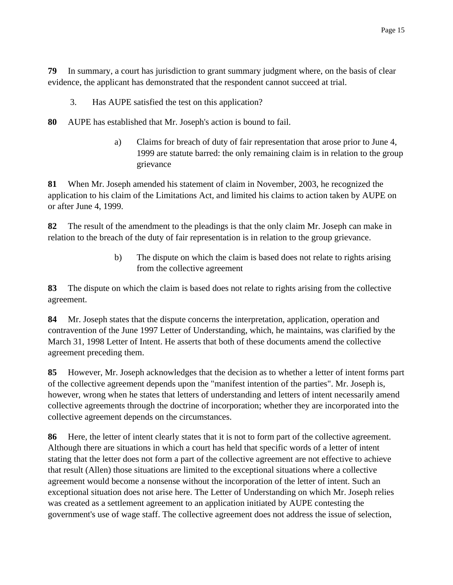**79** In summary, a court has jurisdiction to grant summary judgment where, on the basis of clear evidence, the applicant has demonstrated that the respondent cannot succeed at trial.

- 3. Has AUPE satisfied the test on this application?
- **80** AUPE has established that Mr. Joseph's action is bound to fail.
	- a) Claims for breach of duty of fair representation that arose prior to June 4, 1999 are statute barred: the only remaining claim is in relation to the group grievance

**81** When Mr. Joseph amended his statement of claim in November, 2003, he recognized the application to his claim of the Limitations Act, and limited his claims to action taken by AUPE on or after June 4, 1999.

**82** The result of the amendment to the pleadings is that the only claim Mr. Joseph can make in relation to the breach of the duty of fair representation is in relation to the group grievance.

> b) The dispute on which the claim is based does not relate to rights arising from the collective agreement

**83** The dispute on which the claim is based does not relate to rights arising from the collective agreement.

**84** Mr. Joseph states that the dispute concerns the interpretation, application, operation and contravention of the June 1997 Letter of Understanding, which, he maintains, was clarified by the March 31, 1998 Letter of Intent. He asserts that both of these documents amend the collective agreement preceding them.

**85** However, Mr. Joseph acknowledges that the decision as to whether a letter of intent forms part of the collective agreement depends upon the "manifest intention of the parties". Mr. Joseph is, however, wrong when he states that letters of understanding and letters of intent necessarily amend collective agreements through the doctrine of incorporation; whether they are incorporated into the collective agreement depends on the circumstances.

**86** Here, the letter of intent clearly states that it is not to form part of the collective agreement. Although there are situations in which a court has held that specific words of a letter of intent stating that the letter does not form a part of the collective agreement are not effective to achieve that result (Allen) those situations are limited to the exceptional situations where a collective agreement would become a nonsense without the incorporation of the letter of intent. Such an exceptional situation does not arise here. The Letter of Understanding on which Mr. Joseph relies was created as a settlement agreement to an application initiated by AUPE contesting the government's use of wage staff. The collective agreement does not address the issue of selection,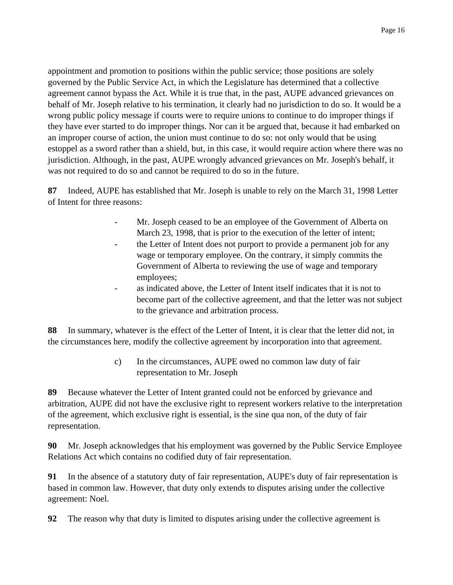appointment and promotion to positions within the public service; those positions are solely governed by the Public Service Act, in which the Legislature has determined that a collective agreement cannot bypass the Act. While it is true that, in the past, AUPE advanced grievances on behalf of Mr. Joseph relative to his termination, it clearly had no jurisdiction to do so. It would be a wrong public policy message if courts were to require unions to continue to do improper things if they have ever started to do improper things. Nor can it be argued that, because it had embarked on an improper course of action, the union must continue to do so: not only would that be using estoppel as a sword rather than a shield, but, in this case, it would require action where there was no jurisdiction. Although, in the past, AUPE wrongly advanced grievances on Mr. Joseph's behalf, it was not required to do so and cannot be required to do so in the future.

**87** Indeed, AUPE has established that Mr. Joseph is unable to rely on the March 31, 1998 Letter of Intent for three reasons:

- Mr. Joseph ceased to be an employee of the Government of Alberta on March 23, 1998, that is prior to the execution of the letter of intent;
- the Letter of Intent does not purport to provide a permanent job for any wage or temporary employee. On the contrary, it simply commits the Government of Alberta to reviewing the use of wage and temporary employees;
- as indicated above, the Letter of Intent itself indicates that it is not to become part of the collective agreement, and that the letter was not subject to the grievance and arbitration process.

**88** In summary, whatever is the effect of the Letter of Intent, it is clear that the letter did not, in the circumstances here, modify the collective agreement by incorporation into that agreement.

> c) In the circumstances, AUPE owed no common law duty of fair representation to Mr. Joseph

**89** Because whatever the Letter of Intent granted could not be enforced by grievance and arbitration, AUPE did not have the exclusive right to represent workers relative to the interpretation of the agreement, which exclusive right is essential, is the sine qua non, of the duty of fair representation.

**90** Mr. Joseph acknowledges that his employment was governed by the Public Service Employee Relations Act which contains no codified duty of fair representation.

**91** In the absence of a statutory duty of fair representation, AUPE's duty of fair representation is based in common law. However, that duty only extends to disputes arising under the collective agreement: Noel.

**92** The reason why that duty is limited to disputes arising under the collective agreement is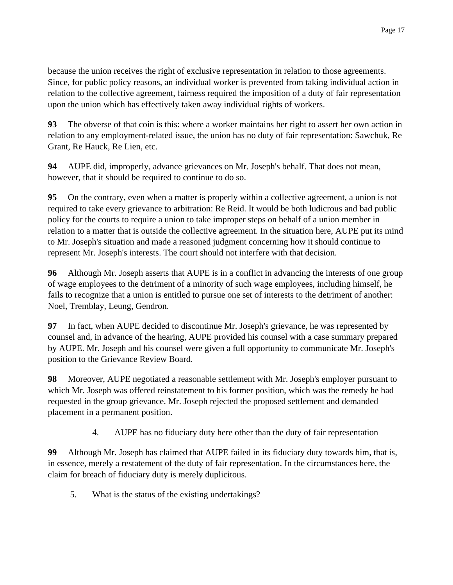because the union receives the right of exclusive representation in relation to those agreements. Since, for public policy reasons, an individual worker is prevented from taking individual action in relation to the collective agreement, fairness required the imposition of a duty of fair representation upon the union which has effectively taken away individual rights of workers.

**93** The obverse of that coin is this: where a worker maintains her right to assert her own action in relation to any employment-related issue, the union has no duty of fair representation: Sawchuk, Re Grant, Re Hauck, Re Lien, etc.

**94** AUPE did, improperly, advance grievances on Mr. Joseph's behalf. That does not mean, however, that it should be required to continue to do so.

**95** On the contrary, even when a matter is properly within a collective agreement, a union is not required to take every grievance to arbitration: Re Reid. It would be both ludicrous and bad public policy for the courts to require a union to take improper steps on behalf of a union member in relation to a matter that is outside the collective agreement. In the situation here, AUPE put its mind to Mr. Joseph's situation and made a reasoned judgment concerning how it should continue to represent Mr. Joseph's interests. The court should not interfere with that decision.

**96** Although Mr. Joseph asserts that AUPE is in a conflict in advancing the interests of one group of wage employees to the detriment of a minority of such wage employees, including himself, he fails to recognize that a union is entitled to pursue one set of interests to the detriment of another: Noel, Tremblay, Leung, Gendron.

**97** In fact, when AUPE decided to discontinue Mr. Joseph's grievance, he was represented by counsel and, in advance of the hearing, AUPE provided his counsel with a case summary prepared by AUPE. Mr. Joseph and his counsel were given a full opportunity to communicate Mr. Joseph's position to the Grievance Review Board.

**98** Moreover, AUPE negotiated a reasonable settlement with Mr. Joseph's employer pursuant to which Mr. Joseph was offered reinstatement to his former position, which was the remedy he had requested in the group grievance. Mr. Joseph rejected the proposed settlement and demanded placement in a permanent position.

4. AUPE has no fiduciary duty here other than the duty of fair representation

**99** Although Mr. Joseph has claimed that AUPE failed in its fiduciary duty towards him, that is, in essence, merely a restatement of the duty of fair representation. In the circumstances here, the claim for breach of fiduciary duty is merely duplicitous.

5. What is the status of the existing undertakings?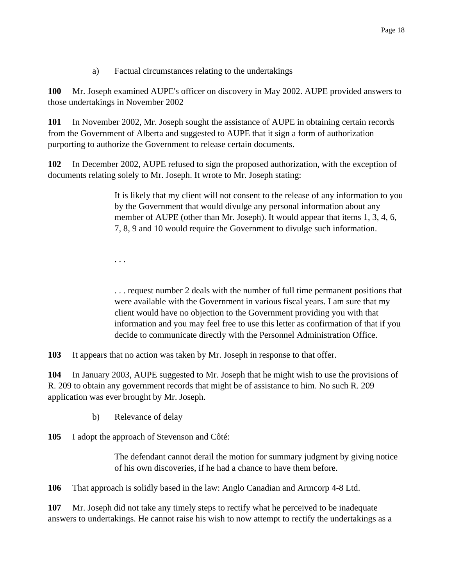a) Factual circumstances relating to the undertakings

**100** Mr. Joseph examined AUPE's officer on discovery in May 2002. AUPE provided answers to those undertakings in November 2002

**101** In November 2002, Mr. Joseph sought the assistance of AUPE in obtaining certain records from the Government of Alberta and suggested to AUPE that it sign a form of authorization purporting to authorize the Government to release certain documents.

**102** In December 2002, AUPE refused to sign the proposed authorization, with the exception of documents relating solely to Mr. Joseph. It wrote to Mr. Joseph stating:

> It is likely that my client will not consent to the release of any information to you by the Government that would divulge any personal information about any member of AUPE (other than Mr. Joseph). It would appear that items 1, 3, 4, 6, 7, 8, 9 and 10 would require the Government to divulge such information.

. . .

. . . request number 2 deals with the number of full time permanent positions that were available with the Government in various fiscal years. I am sure that my client would have no objection to the Government providing you with that information and you may feel free to use this letter as confirmation of that if you decide to communicate directly with the Personnel Administration Office.

**103** It appears that no action was taken by Mr. Joseph in response to that offer.

**104** In January 2003, AUPE suggested to Mr. Joseph that he might wish to use the provisions of R. 209 to obtain any government records that might be of assistance to him. No such R. 209 application was ever brought by Mr. Joseph.

b) Relevance of delay

**105** I adopt the approach of Stevenson and Côté:

The defendant cannot derail the motion for summary judgment by giving notice of his own discoveries, if he had a chance to have them before.

**106** That approach is solidly based in the law: Anglo Canadian and Armcorp 4-8 Ltd.

**107** Mr. Joseph did not take any timely steps to rectify what he perceived to be inadequate answers to undertakings. He cannot raise his wish to now attempt to rectify the undertakings as a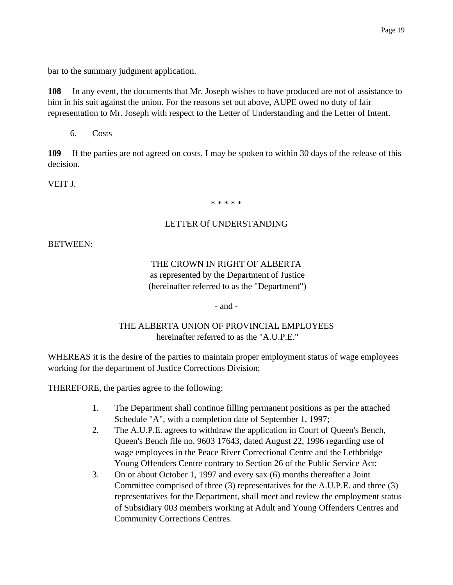bar to the summary judgment application.

**108** In any event, the documents that Mr. Joseph wishes to have produced are not of assistance to him in his suit against the union. For the reasons set out above, AUPE owed no duty of fair representation to Mr. Joseph with respect to the Letter of Understanding and the Letter of Intent.

6. Costs

**109** If the parties are not agreed on costs, I may be spoken to within 30 days of the release of this decision.

VEIT J.

\* \* \* \* \*

### LETTER Of UNDERSTANDING

BETWEEN:

## THE CROWN IN RIGHT OF ALBERTA as represented by the Department of Justice (hereinafter referred to as the "Department")

- and -

## THE ALBERTA UNION OF PROVINCIAL EMPLOYEES hereinafter referred to as the "A.U.P.E."

WHEREAS it is the desire of the parties to maintain proper employment status of wage employees working for the department of Justice Corrections Division;

THEREFORE, the parties agree to the following:

- 1. The Department shall continue filling permanent positions as per the attached Schedule "A", with a completion date of September 1, 1997;
- 2. The A.U.P.E. agrees to withdraw the application in Court of Queen's Bench, Queen's Bench file no. 9603 17643, dated August 22, 1996 regarding use of wage employees in the Peace River Correctional Centre and the Lethbridge Young Offenders Centre contrary to Section 26 of the Public Service Act;
- 3. On or about October 1, 1997 and every sax (6) months thereafter a Joint Committee comprised of three (3) representatives for the A.U.P.E. and three (3) representatives for the Department, shall meet and review the employment status of Subsidiary 003 members working at Adult and Young Offenders Centres and Community Corrections Centres.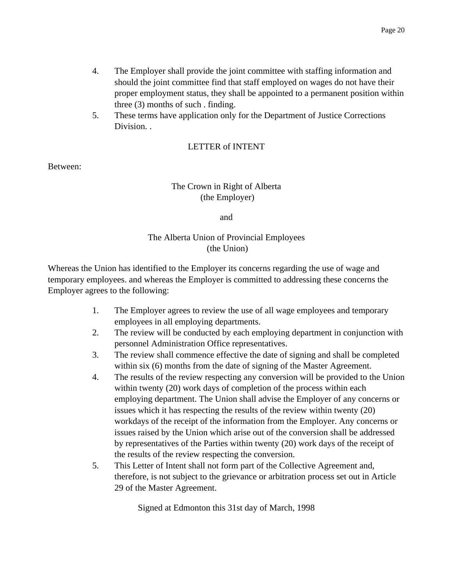- 4. The Employer shall provide the joint committee with staffing information and should the joint committee find that staff employed on wages do not have their proper employment status, they shall be appointed to a permanent position within three (3) months of such . finding.
- 5. These terms have application only for the Department of Justice Corrections Division. .

### LETTER of INTENT

Between:

## The Crown in Right of Alberta (the Employer)

and

## The Alberta Union of Provincial Employees (the Union)

Whereas the Union has identified to the Employer its concerns regarding the use of wage and temporary employees. and whereas the Employer is committed to addressing these concerns the Employer agrees to the following:

- 1. The Employer agrees to review the use of all wage employees and temporary employees in all employing departments.
- 2. The review will be conducted by each employing department in conjunction with personnel Administration Office representatives.
- 3. The review shall commence effective the date of signing and shall be completed within six (6) months from the date of signing of the Master Agreement.
- 4. The results of the review respecting any conversion will be provided to the Union within twenty (20) work days of completion of the process within each employing department. The Union shall advise the Employer of any concerns or issues which it has respecting the results of the review within twenty (20) workdays of the receipt of the information from the Employer. Any concerns or issues raised by the Union which arise out of the conversion shall be addressed by representatives of the Parties within twenty (20) work days of the receipt of the results of the review respecting the conversion.
- 5. This Letter of Intent shall not form part of the Collective Agreement and, therefore, is not subject to the grievance or arbitration process set out in Article 29 of the Master Agreement.

Signed at Edmonton this 31st day of March, 1998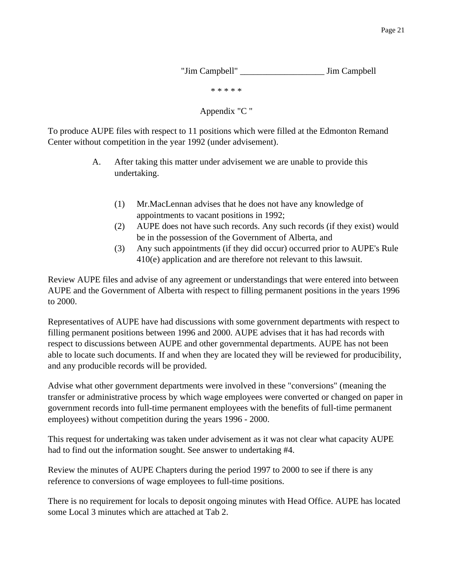"Jim Campbell" \_\_\_\_\_\_\_\_\_\_\_\_\_\_\_\_\_\_\_ Jim Campbell

\* \* \* \* \*

Appendix "C "

To produce AUPE files with respect to 11 positions which were filled at the Edmonton Remand Center without competition in the year 1992 (under advisement).

- A. After taking this matter under advisement we are unable to provide this undertaking.
	- (1) Mr.MacLennan advises that he does not have any knowledge of appointments to vacant positions in 1992;
	- (2) AUPE does not have such records. Any such records (if they exist) would be in the possession of the Government of Alberta, and
	- (3) Any such appointments (if they did occur) occurred prior to AUPE's Rule 410(e) application and are therefore not relevant to this lawsuit.

Review AUPE files and advise of any agreement or understandings that were entered into between AUPE and the Government of Alberta with respect to filling permanent positions in the years 1996 to 2000.

Representatives of AUPE have had discussions with some government departments with respect to filling permanent positions between 1996 and 2000. AUPE advises that it has had records with respect to discussions between AUPE and other governmental departments. AUPE has not been able to locate such documents. If and when they are located they will be reviewed for producibility, and any producible records will be provided.

Advise what other government departments were involved in these "conversions" (meaning the transfer or administrative process by which wage employees were converted or changed on paper in government records into full-time permanent employees with the benefits of full-time permanent employees) without competition during the years 1996 - 2000.

This request for undertaking was taken under advisement as it was not clear what capacity AUPE had to find out the information sought. See answer to undertaking #4.

Review the minutes of AUPE Chapters during the period 1997 to 2000 to see if there is any reference to conversions of wage employees to full-time positions.

There is no requirement for locals to deposit ongoing minutes with Head Office. AUPE has located some Local 3 minutes which are attached at Tab 2.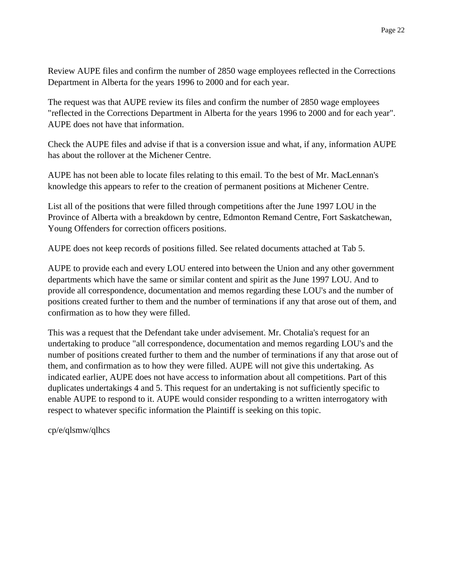Review AUPE files and confirm the number of 2850 wage employees reflected in the Corrections Department in Alberta for the years 1996 to 2000 and for each year.

The request was that AUPE review its files and confirm the number of 2850 wage employees "reflected in the Corrections Department in Alberta for the years 1996 to 2000 and for each year". AUPE does not have that information.

Check the AUPE files and advise if that is a conversion issue and what, if any, information AUPE has about the rollover at the Michener Centre.

AUPE has not been able to locate files relating to this email. To the best of Mr. MacLennan's knowledge this appears to refer to the creation of permanent positions at Michener Centre.

List all of the positions that were filled through competitions after the June 1997 LOU in the Province of Alberta with a breakdown by centre, Edmonton Remand Centre, Fort Saskatchewan, Young Offenders for correction officers positions.

AUPE does not keep records of positions filled. See related documents attached at Tab 5.

AUPE to provide each and every LOU entered into between the Union and any other government departments which have the same or similar content and spirit as the June 1997 LOU. And to provide all correspondence, documentation and memos regarding these LOU's and the number of positions created further to them and the number of terminations if any that arose out of them, and confirmation as to how they were filled.

This was a request that the Defendant take under advisement. Mr. Chotalia's request for an undertaking to produce "all correspondence, documentation and memos regarding LOU's and the number of positions created further to them and the number of terminations if any that arose out of them, and confirmation as to how they were filled. AUPE will not give this undertaking. As indicated earlier, AUPE does not have access to information about all competitions. Part of this duplicates undertakings 4 and 5. This request for an undertaking is not sufficiently specific to enable AUPE to respond to it. AUPE would consider responding to a written interrogatory with respect to whatever specific information the Plaintiff is seeking on this topic.

cp/e/qlsmw/qlhcs